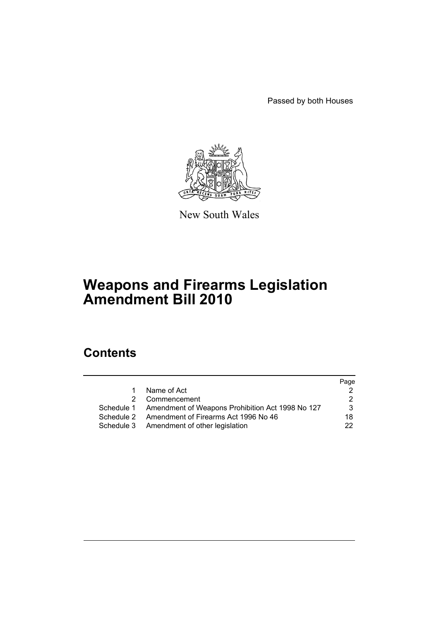Passed by both Houses



New South Wales

# **Weapons and Firearms Legislation Amendment Bill 2010**

# **Contents**

|            |                                                             | Page |
|------------|-------------------------------------------------------------|------|
|            | Name of Act                                                 |      |
| 2          | Commencement                                                |      |
|            | Schedule 1 Amendment of Weapons Prohibition Act 1998 No 127 | 3    |
| Schedule 2 | Amendment of Firearms Act 1996 No 46                        | 18   |
|            | Schedule 3 Amendment of other legislation                   | 22.  |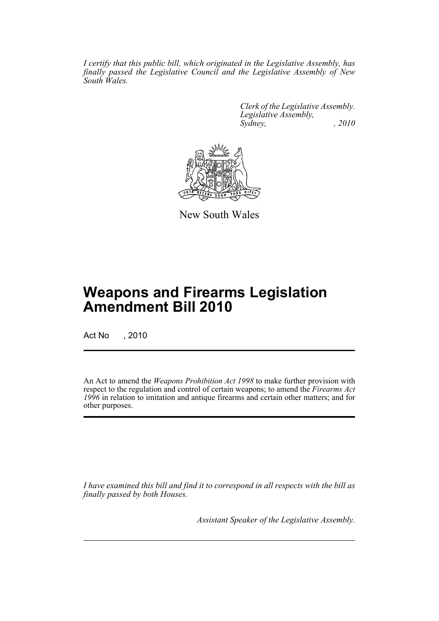*I certify that this public bill, which originated in the Legislative Assembly, has finally passed the Legislative Council and the Legislative Assembly of New South Wales.*

> *Clerk of the Legislative Assembly. Legislative Assembly, Sydney, , 2010*



New South Wales

# **Weapons and Firearms Legislation Amendment Bill 2010**

Act No , 2010

An Act to amend the *Weapons Prohibition Act 1998* to make further provision with respect to the regulation and control of certain weapons; to amend the *Firearms Act 1996* in relation to imitation and antique firearms and certain other matters; and for other purposes.

*I have examined this bill and find it to correspond in all respects with the bill as finally passed by both Houses.*

*Assistant Speaker of the Legislative Assembly.*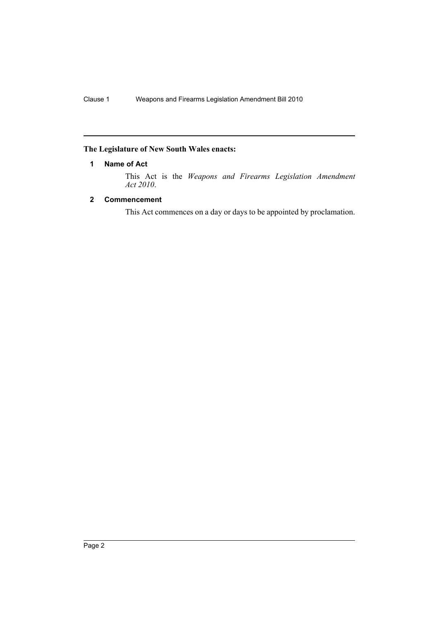# <span id="page-2-0"></span>**The Legislature of New South Wales enacts:**

# **1 Name of Act**

This Act is the *Weapons and Firearms Legislation Amendment Act 2010*.

# <span id="page-2-1"></span>**2 Commencement**

This Act commences on a day or days to be appointed by proclamation.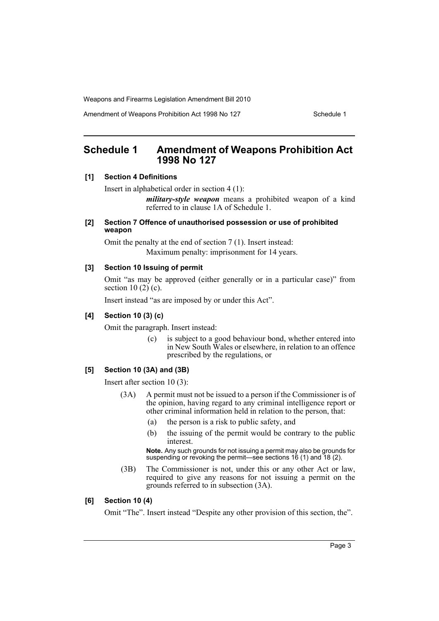Amendment of Weapons Prohibition Act 1998 No 127 Schedule 1

# <span id="page-3-0"></span>**Schedule 1 Amendment of Weapons Prohibition Act 1998 No 127**

### **[1] Section 4 Definitions**

Insert in alphabetical order in section 4 (1):

*military-style weapon* means a prohibited weapon of a kind referred to in clause 1A of Schedule 1.

# **[2] Section 7 Offence of unauthorised possession or use of prohibited weapon**

Omit the penalty at the end of section 7 (1). Insert instead: Maximum penalty: imprisonment for 14 years.

# **[3] Section 10 Issuing of permit**

Omit "as may be approved (either generally or in a particular case)" from section 10 $(2)$  $(c)$ .

Insert instead "as are imposed by or under this Act".

### **[4] Section 10 (3) (c)**

Omit the paragraph. Insert instead:

(c) is subject to a good behaviour bond, whether entered into in New South Wales or elsewhere, in relation to an offence prescribed by the regulations, or

# **[5] Section 10 (3A) and (3B)**

Insert after section 10 (3):

- (3A) A permit must not be issued to a person if the Commissioner is of the opinion, having regard to any criminal intelligence report or other criminal information held in relation to the person, that:
	- (a) the person is a risk to public safety, and
	- (b) the issuing of the permit would be contrary to the public interest.

**Note.** Any such grounds for not issuing a permit may also be grounds for suspending or revoking the permit—see sections 16 (1) and 18 (2).

(3B) The Commissioner is not, under this or any other Act or law, required to give any reasons for not issuing a permit on the grounds referred to in subsection (3A).

### **[6] Section 10 (4)**

Omit "The". Insert instead "Despite any other provision of this section, the".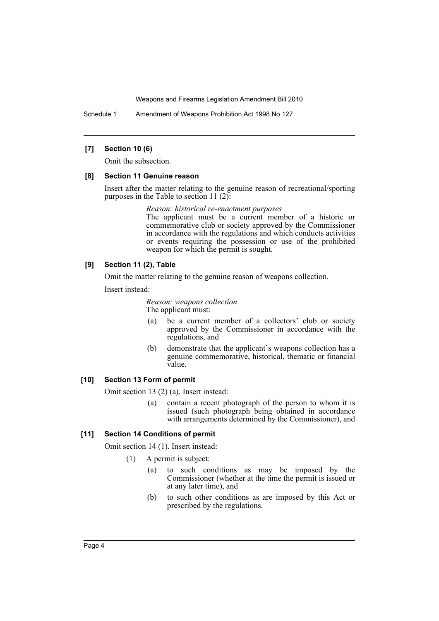Schedule 1 Amendment of Weapons Prohibition Act 1998 No 127

### **[7] Section 10 (6)**

Omit the subsection.

### **[8] Section 11 Genuine reason**

Insert after the matter relating to the genuine reason of recreational/sporting purposes in the Table to section 11 (2):

> *Reason: historical re-enactment purposes* The applicant must be a current member of a historic or commemorative club or society approved by the Commissioner in accordance with the regulations and which conducts activities or events requiring the possession or use of the prohibited weapon for which the permit is sought.

### **[9] Section 11 (2), Table**

Omit the matter relating to the genuine reason of weapons collection.

Insert instead:

*Reason: weapons collection* The applicant must:

- (a) be a current member of a collectors' club or society approved by the Commissioner in accordance with the regulations, and
- (b) demonstrate that the applicant's weapons collection has a genuine commemorative, historical, thematic or financial value.

### **[10] Section 13 Form of permit**

Omit section 13 (2) (a). Insert instead:

(a) contain a recent photograph of the person to whom it is issued (such photograph being obtained in accordance with arrangements determined by the Commissioner), and

### **[11] Section 14 Conditions of permit**

Omit section 14 (1). Insert instead:

- (1) A permit is subject:
	- (a) to such conditions as may be imposed by the Commissioner (whether at the time the permit is issued or at any later time), and
	- (b) to such other conditions as are imposed by this Act or prescribed by the regulations.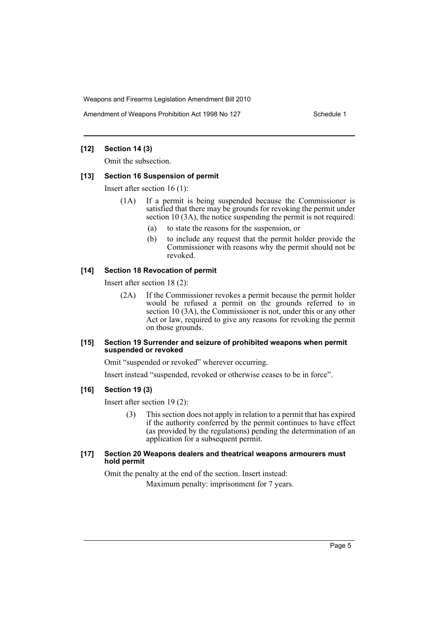Amendment of Weapons Prohibition Act 1998 No 127 Schedule 1

### **[12] Section 14 (3)**

Omit the subsection.

### **[13] Section 16 Suspension of permit**

Insert after section 16 (1):

- (1A) If a permit is being suspended because the Commissioner is satisfied that there may be grounds for revoking the permit under section 10 (3A), the notice suspending the permit is not required:
	- (a) to state the reasons for the suspension, or
	- (b) to include any request that the permit holder provide the Commissioner with reasons why the permit should not be revoked.

### **[14] Section 18 Revocation of permit**

Insert after section 18 (2):

(2A) If the Commissioner revokes a permit because the permit holder would be refused a permit on the grounds referred to in section 10 (3A), the Commissioner is not, under this or any other Act or law, required to give any reasons for revoking the permit on those grounds.

### **[15] Section 19 Surrender and seizure of prohibited weapons when permit suspended or revoked**

Omit "suspended or revoked" wherever occurring.

Insert instead "suspended, revoked or otherwise ceases to be in force".

### **[16] Section 19 (3)**

Insert after section 19 (2):

(3) This section does not apply in relation to a permit that has expired if the authority conferred by the permit continues to have effect (as provided by the regulations) pending the determination of an application for a subsequent permit.

### **[17] Section 20 Weapons dealers and theatrical weapons armourers must hold permit**

Omit the penalty at the end of the section. Insert instead: Maximum penalty: imprisonment for 7 years.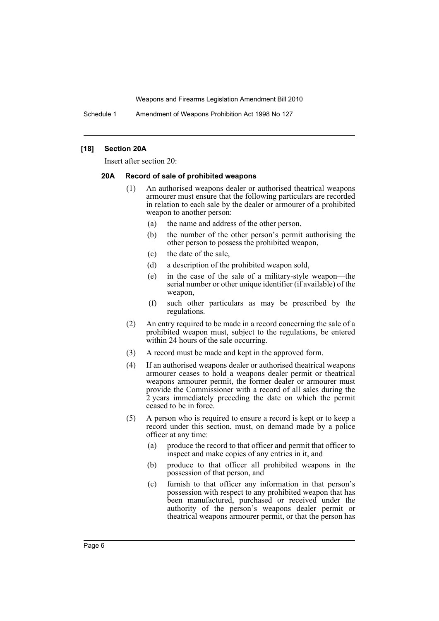Schedule 1 Amendment of Weapons Prohibition Act 1998 No 127

### **[18] Section 20A**

Insert after section 20:

### **20A Record of sale of prohibited weapons**

- (1) An authorised weapons dealer or authorised theatrical weapons armourer must ensure that the following particulars are recorded in relation to each sale by the dealer or armourer of a prohibited weapon to another person:
	- (a) the name and address of the other person,
	- (b) the number of the other person's permit authorising the other person to possess the prohibited weapon,
	- (c) the date of the sale,
	- (d) a description of the prohibited weapon sold,
	- (e) in the case of the sale of a military-style weapon—the serial number or other unique identifier (if available) of the weapon,
	- (f) such other particulars as may be prescribed by the regulations.
- (2) An entry required to be made in a record concerning the sale of a prohibited weapon must, subject to the regulations, be entered within 24 hours of the sale occurring.
- (3) A record must be made and kept in the approved form.
- (4) If an authorised weapons dealer or authorised theatrical weapons armourer ceases to hold a weapons dealer permit or theatrical weapons armourer permit, the former dealer or armourer must provide the Commissioner with a record of all sales during the 2 years immediately preceding the date on which the permit ceased to be in force.
- (5) A person who is required to ensure a record is kept or to keep a record under this section, must, on demand made by a police officer at any time:
	- (a) produce the record to that officer and permit that officer to inspect and make copies of any entries in it, and
	- (b) produce to that officer all prohibited weapons in the possession of that person, and
	- (c) furnish to that officer any information in that person's possession with respect to any prohibited weapon that has been manufactured, purchased or received under the authority of the person's weapons dealer permit or theatrical weapons armourer permit, or that the person has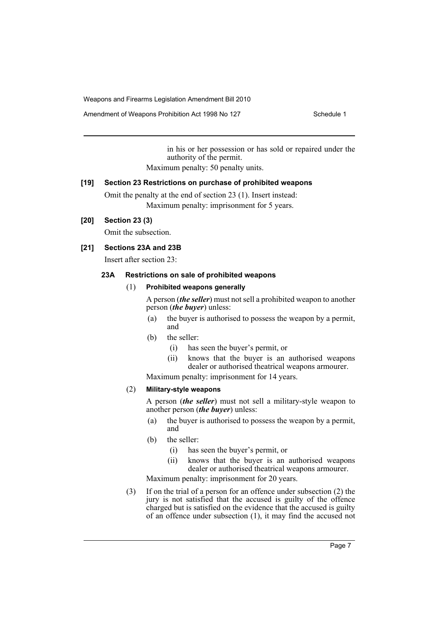Amendment of Weapons Prohibition Act 1998 No 127 Schedule 1

in his or her possession or has sold or repaired under the authority of the permit.

Maximum penalty: 50 penalty units.

# **[19] Section 23 Restrictions on purchase of prohibited weapons**

Omit the penalty at the end of section 23 (1). Insert instead: Maximum penalty: imprisonment for 5 years.

# **[20] Section 23 (3)**

Omit the subsection.

# **[21] Sections 23A and 23B**

Insert after section 23:

### **23A Restrictions on sale of prohibited weapons**

### (1) **Prohibited weapons generally**

A person (*the seller*) must not sell a prohibited weapon to another person (*the buyer*) unless:

- (a) the buyer is authorised to possess the weapon by a permit, and
- (b) the seller:
	- (i) has seen the buyer's permit, or
	- (ii) knows that the buyer is an authorised weapons dealer or authorised theatrical weapons armourer.

Maximum penalty: imprisonment for 14 years.

# (2) **Military-style weapons**

A person (*the seller*) must not sell a military-style weapon to another person (*the buyer*) unless:

- (a) the buyer is authorised to possess the weapon by a permit, and
- (b) the seller:
	- (i) has seen the buyer's permit, or
	- (ii) knows that the buyer is an authorised weapons dealer or authorised theatrical weapons armourer.

Maximum penalty: imprisonment for 20 years.

(3) If on the trial of a person for an offence under subsection (2) the jury is not satisfied that the accused is guilty of the offence charged but is satisfied on the evidence that the accused is guilty of an offence under subsection (1), it may find the accused not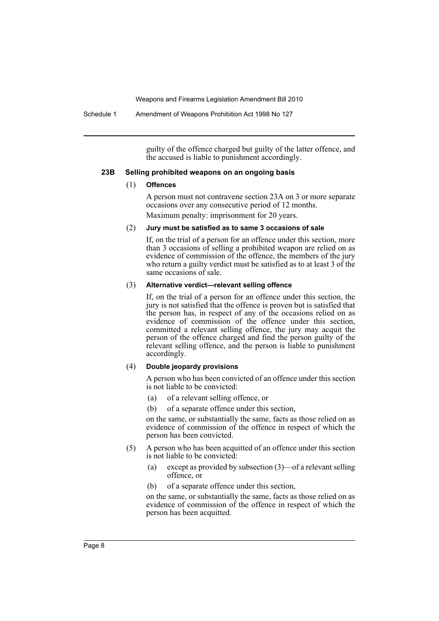Schedule 1 Amendment of Weapons Prohibition Act 1998 No 127

guilty of the offence charged but guilty of the latter offence, and the accused is liable to punishment accordingly.

### **23B Selling prohibited weapons on an ongoing basis**

### (1) **Offences**

A person must not contravene section 23A on 3 or more separate occasions over any consecutive period of 12 months. Maximum penalty: imprisonment for 20 years.

#### (2) **Jury must be satisfied as to same 3 occasions of sale**

If, on the trial of a person for an offence under this section, more than 3 occasions of selling a prohibited weapon are relied on as evidence of commission of the offence, the members of the jury who return a guilty verdict must be satisfied as to at least 3 of the same occasions of sale.

### (3) **Alternative verdict—relevant selling offence**

If, on the trial of a person for an offence under this section, the jury is not satisfied that the offence is proven but is satisfied that the person has, in respect of any of the occasions relied on as evidence of commission of the offence under this section, committed a relevant selling offence, the jury may acquit the person of the offence charged and find the person guilty of the relevant selling offence, and the person is liable to punishment accordingly.

### (4) **Double jeopardy provisions**

A person who has been convicted of an offence under this section is not liable to be convicted:

- (a) of a relevant selling offence, or
- (b) of a separate offence under this section,

on the same, or substantially the same, facts as those relied on as evidence of commission of the offence in respect of which the person has been convicted.

- (5) A person who has been acquitted of an offence under this section is not liable to be convicted:
	- (a) except as provided by subsection (3)—of a relevant selling offence, or
	- (b) of a separate offence under this section,

on the same, or substantially the same, facts as those relied on as evidence of commission of the offence in respect of which the person has been acquitted.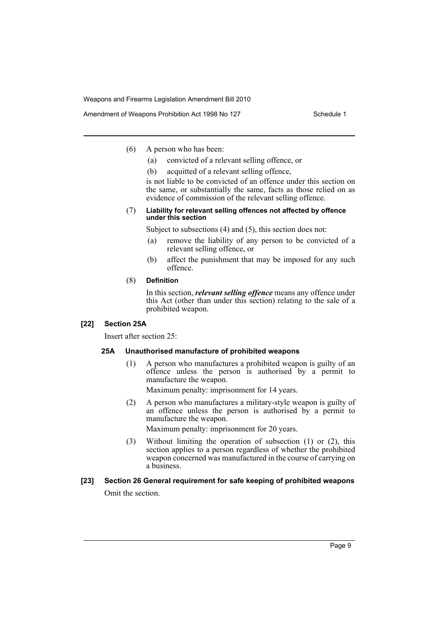Amendment of Weapons Prohibition Act 1998 No 127 Schedule 1

- (6) A person who has been:
	- (a) convicted of a relevant selling offence, or
	- (b) acquitted of a relevant selling offence,

is not liable to be convicted of an offence under this section on the same, or substantially the same, facts as those relied on as evidence of commission of the relevant selling offence.

### (7) **Liability for relevant selling offences not affected by offence under this section**

Subject to subsections (4) and (5), this section does not:

- (a) remove the liability of any person to be convicted of a relevant selling offence, or
- (b) affect the punishment that may be imposed for any such offence.

### (8) **Definition**

In this section, *relevant selling offence* means any offence under this Act (other than under this section) relating to the sale of a prohibited weapon.

### **[22] Section 25A**

Insert after section 25:

### **25A Unauthorised manufacture of prohibited weapons**

(1) A person who manufactures a prohibited weapon is guilty of an offence unless the person is authorised by a permit to manufacture the weapon.

Maximum penalty: imprisonment for 14 years.

(2) A person who manufactures a military-style weapon is guilty of an offence unless the person is authorised by a permit to manufacture the weapon.

Maximum penalty: imprisonment for 20 years.

(3) Without limiting the operation of subsection (1) or (2), this section applies to a person regardless of whether the prohibited weapon concerned was manufactured in the course of carrying on a business.

# **[23] Section 26 General requirement for safe keeping of prohibited weapons**

Omit the section.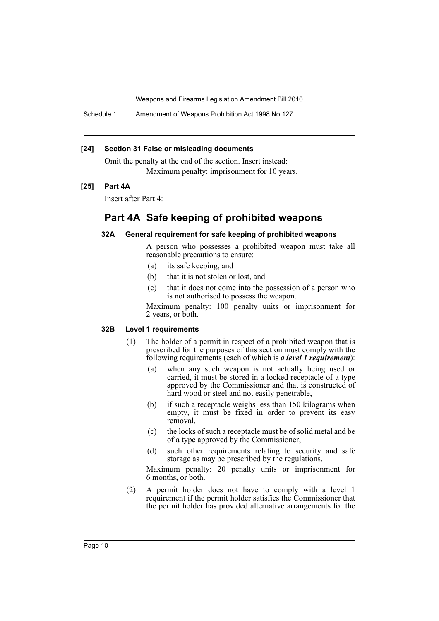Schedule 1 Amendment of Weapons Prohibition Act 1998 No 127

### **[24] Section 31 False or misleading documents**

Omit the penalty at the end of the section. Insert instead: Maximum penalty: imprisonment for 10 years.

### **[25] Part 4A**

Insert after Part 4:

# **Part 4A Safe keeping of prohibited weapons**

### **32A General requirement for safe keeping of prohibited weapons**

A person who possesses a prohibited weapon must take all reasonable precautions to ensure:

- (a) its safe keeping, and
- (b) that it is not stolen or lost, and
- (c) that it does not come into the possession of a person who is not authorised to possess the weapon.

Maximum penalty: 100 penalty units or imprisonment for 2 years, or both.

### **32B Level 1 requirements**

- (1) The holder of a permit in respect of a prohibited weapon that is prescribed for the purposes of this section must comply with the following requirements (each of which is *a level 1 requirement*):
	- (a) when any such weapon is not actually being used or carried, it must be stored in a locked receptacle of a type approved by the Commissioner and that is constructed of hard wood or steel and not easily penetrable,
	- (b) if such a receptacle weighs less than 150 kilograms when empty, it must be fixed in order to prevent its easy removal,
	- (c) the locks of such a receptacle must be of solid metal and be of a type approved by the Commissioner,
	- (d) such other requirements relating to security and safe storage as may be prescribed by the regulations.

Maximum penalty: 20 penalty units or imprisonment for 6 months, or both.

(2) A permit holder does not have to comply with a level 1 requirement if the permit holder satisfies the Commissioner that the permit holder has provided alternative arrangements for the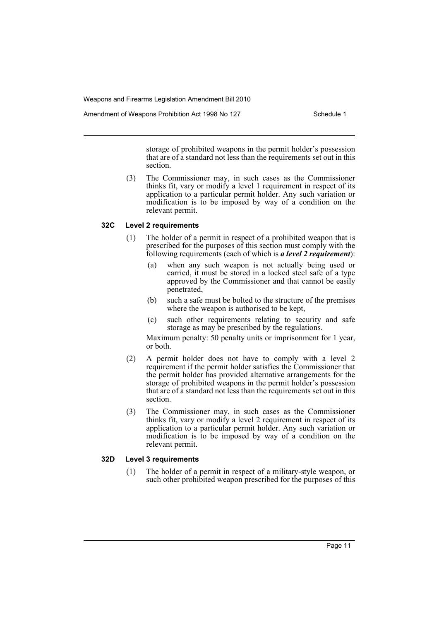Amendment of Weapons Prohibition Act 1998 No 127 Schedule 1

storage of prohibited weapons in the permit holder's possession that are of a standard not less than the requirements set out in this section.

(3) The Commissioner may, in such cases as the Commissioner thinks fit, vary or modify a level 1 requirement in respect of its application to a particular permit holder. Any such variation or modification is to be imposed by way of a condition on the relevant permit.

### **32C Level 2 requirements**

- (1) The holder of a permit in respect of a prohibited weapon that is prescribed for the purposes of this section must comply with the following requirements (each of which is *a level 2 requirement*):
	- (a) when any such weapon is not actually being used or carried, it must be stored in a locked steel safe of a type approved by the Commissioner and that cannot be easily penetrated,
	- (b) such a safe must be bolted to the structure of the premises where the weapon is authorised to be kept,
	- (c) such other requirements relating to security and safe storage as may be prescribed by the regulations.

Maximum penalty: 50 penalty units or imprisonment for 1 year, or both.

- (2) A permit holder does not have to comply with a level 2 requirement if the permit holder satisfies the Commissioner that the permit holder has provided alternative arrangements for the storage of prohibited weapons in the permit holder's possession that are of a standard not less than the requirements set out in this section.
- (3) The Commissioner may, in such cases as the Commissioner thinks fit, vary or modify a level 2 requirement in respect of its application to a particular permit holder. Any such variation or modification is to be imposed by way of a condition on the relevant permit.

### **32D Level 3 requirements**

(1) The holder of a permit in respect of a military-style weapon, or such other prohibited weapon prescribed for the purposes of this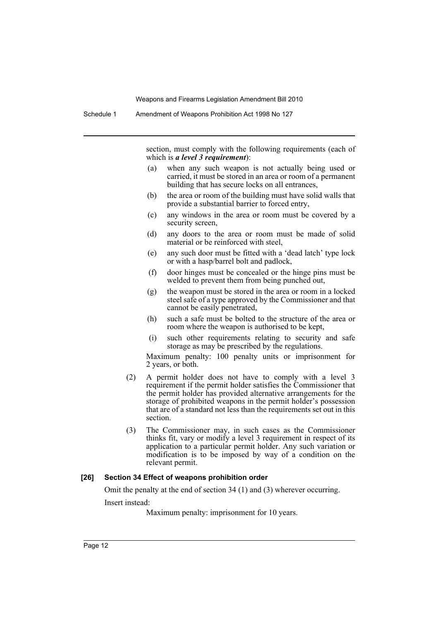Schedule 1 Amendment of Weapons Prohibition Act 1998 No 127

section, must comply with the following requirements (each of which is *a level 3 requirement*):

- (a) when any such weapon is not actually being used or carried, it must be stored in an area or room of a permanent building that has secure locks on all entrances,
- (b) the area or room of the building must have solid walls that provide a substantial barrier to forced entry,
- (c) any windows in the area or room must be covered by a security screen,
- (d) any doors to the area or room must be made of solid material or be reinforced with steel,
- (e) any such door must be fitted with a 'dead latch' type lock or with a hasp/barrel bolt and padlock,
- (f) door hinges must be concealed or the hinge pins must be welded to prevent them from being punched out,
- (g) the weapon must be stored in the area or room in a locked steel safe of a type approved by the Commissioner and that cannot be easily penetrated,
- (h) such a safe must be bolted to the structure of the area or room where the weapon is authorised to be kept,
- (i) such other requirements relating to security and safe storage as may be prescribed by the regulations.

Maximum penalty: 100 penalty units or imprisonment for 2 years, or both.

- (2) A permit holder does not have to comply with a level 3 requirement if the permit holder satisfies the Commissioner that the permit holder has provided alternative arrangements for the storage of prohibited weapons in the permit holder's possession that are of a standard not less than the requirements set out in this section.
- (3) The Commissioner may, in such cases as the Commissioner thinks fit, vary or modify a level 3 requirement in respect of its application to a particular permit holder. Any such variation or modification is to be imposed by way of a condition on the relevant permit.

### **[26] Section 34 Effect of weapons prohibition order**

Omit the penalty at the end of section 34 (1) and (3) wherever occurring. Insert instead:

Maximum penalty: imprisonment for 10 years.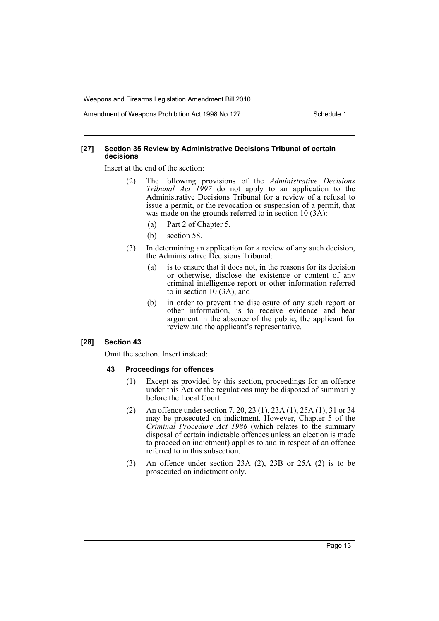Amendment of Weapons Prohibition Act 1998 No 127 Schedule 1

### **[27] Section 35 Review by Administrative Decisions Tribunal of certain decisions**

Insert at the end of the section:

- (2) The following provisions of the *Administrative Decisions Tribunal Act 1997* do not apply to an application to the Administrative Decisions Tribunal for a review of a refusal to issue a permit, or the revocation or suspension of a permit, that was made on the grounds referred to in section  $10(3\text{\AA})$ :
	- (a) Part 2 of Chapter 5,
	- (b) section 58.
- (3) In determining an application for a review of any such decision, the Administrative Decisions Tribunal:
	- (a) is to ensure that it does not, in the reasons for its decision or otherwise, disclose the existence or content of any criminal intelligence report or other information referred to in section 10 (3A), and
	- (b) in order to prevent the disclosure of any such report or other information, is to receive evidence and hear argument in the absence of the public, the applicant for review and the applicant's representative.

### **[28] Section 43**

Omit the section. Insert instead:

### **43 Proceedings for offences**

- (1) Except as provided by this section, proceedings for an offence under this Act or the regulations may be disposed of summarily before the Local Court.
- (2) An offence under section 7, 20, 23 (1), 23A (1), 25A (1), 31 or 34 may be prosecuted on indictment. However, Chapter 5 of the *Criminal Procedure Act 1986* (which relates to the summary disposal of certain indictable offences unless an election is made to proceed on indictment) applies to and in respect of an offence referred to in this subsection.
- (3) An offence under section 23A (2), 23B or 25A (2) is to be prosecuted on indictment only.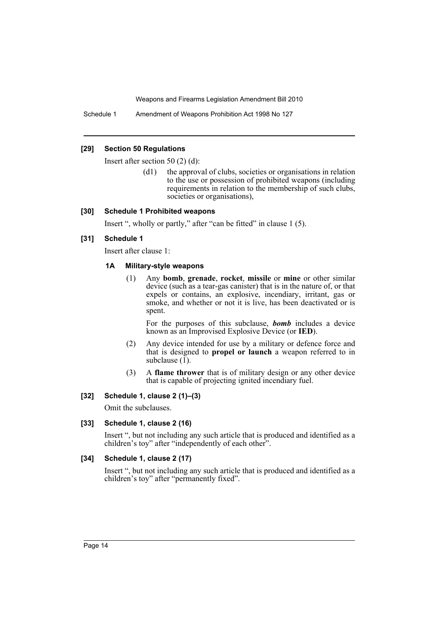Schedule 1 Amendment of Weapons Prohibition Act 1998 No 127

### **[29] Section 50 Regulations**

Insert after section 50 (2) (d):

(d1) the approval of clubs, societies or organisations in relation to the use or possession of prohibited weapons (including requirements in relation to the membership of such clubs, societies or organisations),

### **[30] Schedule 1 Prohibited weapons**

Insert ", wholly or partly," after "can be fitted" in clause 1 (5).

# **[31] Schedule 1**

Insert after clause 1:

### **1A Military-style weapons**

(1) Any **bomb**, **grenade**, **rocket**, **missile** or **mine** or other similar device (such as a tear-gas canister) that is in the nature of, or that expels or contains, an explosive, incendiary, irritant, gas or smoke, and whether or not it is live, has been deactivated or is spent.

For the purposes of this subclause, *bomb* includes a device known as an Improvised Explosive Device (or **IED**).

- (2) Any device intended for use by a military or defence force and that is designed to **propel or launch** a weapon referred to in subclause  $(1)$ .
- (3) A **flame thrower** that is of military design or any other device that is capable of projecting ignited incendiary fuel.

# **[32] Schedule 1, clause 2 (1)–(3)**

Omit the subclauses.

# **[33] Schedule 1, clause 2 (16)**

Insert ", but not including any such article that is produced and identified as a children's toy" after "independently of each other".

# **[34] Schedule 1, clause 2 (17)**

Insert ", but not including any such article that is produced and identified as a children's toy" after "permanently fixed".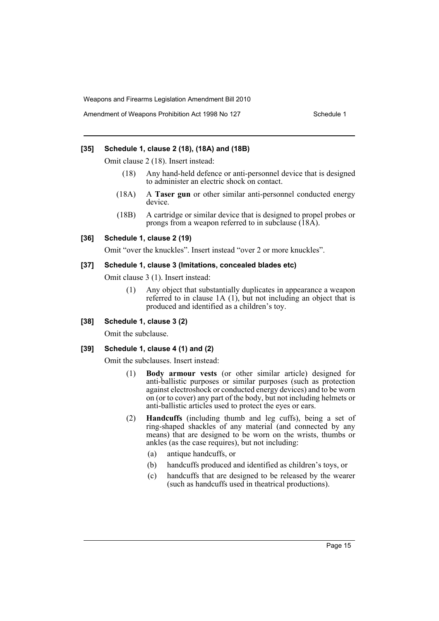### **[35] Schedule 1, clause 2 (18), (18A) and (18B)**

Omit clause 2 (18). Insert instead:

- (18) Any hand-held defence or anti-personnel device that is designed to administer an electric shock on contact.
- (18A) A **Taser gun** or other similar anti-personnel conducted energy device.
- (18B) A cartridge or similar device that is designed to propel probes or prongs from a weapon referred to in subclause  $(18A)$ .

### **[36] Schedule 1, clause 2 (19)**

Omit "over the knuckles". Insert instead "over 2 or more knuckles".

### **[37] Schedule 1, clause 3 (Imitations, concealed blades etc)**

Omit clause 3 (1). Insert instead:

(1) Any object that substantially duplicates in appearance a weapon referred to in clause 1A (1), but not including an object that is produced and identified as a children's toy.

### **[38] Schedule 1, clause 3 (2)**

Omit the subclause.

### **[39] Schedule 1, clause 4 (1) and (2)**

Omit the subclauses. Insert instead:

- (1) **Body armour vests** (or other similar article) designed for anti-ballistic purposes or similar purposes (such as protection against electroshock or conducted energy devices) and to be worn on (or to cover) any part of the body, but not including helmets or anti-ballistic articles used to protect the eyes or ears.
- (2) **Handcuffs** (including thumb and leg cuffs), being a set of ring-shaped shackles of any material (and connected by any means) that are designed to be worn on the wrists, thumbs or ankles (as the case requires), but not including:
	- (a) antique handcuffs, or
	- (b) handcuffs produced and identified as children's toys, or
	- (c) handcuffs that are designed to be released by the wearer (such as handcuffs used in theatrical productions).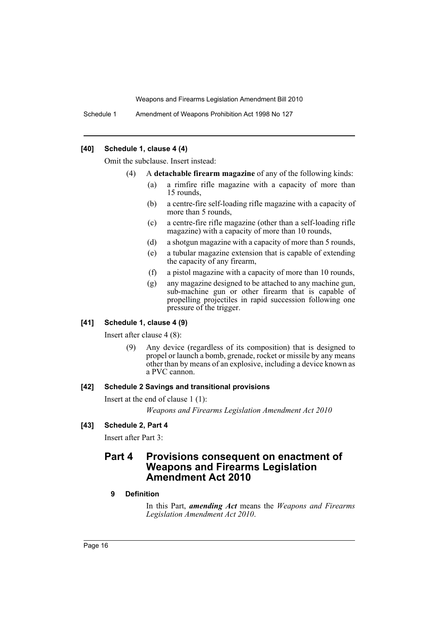Schedule 1 Amendment of Weapons Prohibition Act 1998 No 127

### **[40] Schedule 1, clause 4 (4)**

Omit the subclause. Insert instead:

- (4) A **detachable firearm magazine** of any of the following kinds:
	- (a) a rimfire rifle magazine with a capacity of more than 15 rounds,
	- (b) a centre-fire self-loading rifle magazine with a capacity of more than 5 rounds,
	- (c) a centre-fire rifle magazine (other than a self-loading rifle magazine) with a capacity of more than 10 rounds,
	- (d) a shotgun magazine with a capacity of more than 5 rounds,
	- (e) a tubular magazine extension that is capable of extending the capacity of any firearm,
	- (f) a pistol magazine with a capacity of more than 10 rounds,
	- (g) any magazine designed to be attached to any machine gun, sub-machine gun or other firearm that is capable of propelling projectiles in rapid succession following one pressure of the trigger.

### **[41] Schedule 1, clause 4 (9)**

Insert after clause 4 (8):

(9) Any device (regardless of its composition) that is designed to propel or launch a bomb, grenade, rocket or missile by any means other than by means of an explosive, including a device known as a PVC cannon.

### **[42] Schedule 2 Savings and transitional provisions**

Insert at the end of clause 1 (1): *Weapons and Firearms Legislation Amendment Act 2010*

### **[43] Schedule 2, Part 4**

Insert after Part 3:

# **Part 4 Provisions consequent on enactment of Weapons and Firearms Legislation Amendment Act 2010**

### **9 Definition**

In this Part, *amending Act* means the *Weapons and Firearms Legislation Amendment Act 2010*.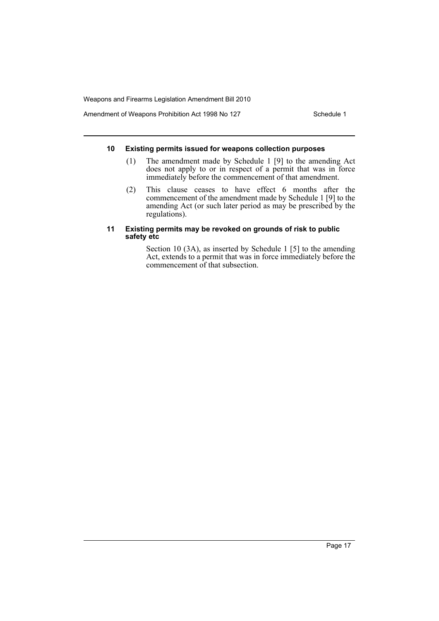Amendment of Weapons Prohibition Act 1998 No 127 Schedule 1

### **10 Existing permits issued for weapons collection purposes**

- (1) The amendment made by Schedule 1 [9] to the amending Act does not apply to or in respect of a permit that was in force immediately before the commencement of that amendment.
- (2) This clause ceases to have effect 6 months after the commencement of the amendment made by Schedule 1 [9] to the amending Act (or such later period as may be prescribed by the regulations).

### **11 Existing permits may be revoked on grounds of risk to public safety etc**

Section 10 (3A), as inserted by Schedule 1 [5] to the amending Act, extends to a permit that was in force immediately before the commencement of that subsection.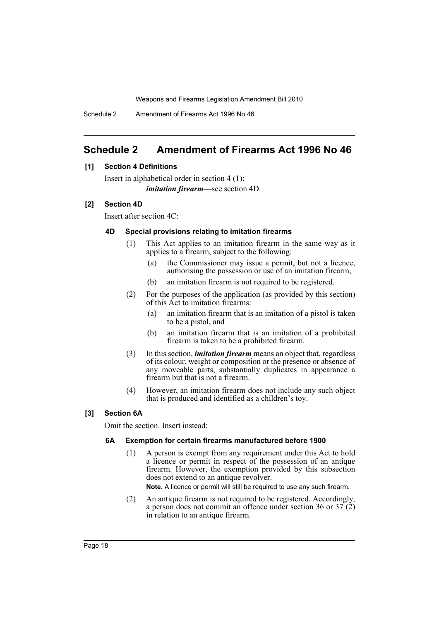Schedule 2 Amendment of Firearms Act 1996 No 46

# <span id="page-18-0"></span>**Schedule 2 Amendment of Firearms Act 1996 No 46**

### **[1] Section 4 Definitions**

Insert in alphabetical order in section 4 (1): *imitation firearm*—see section 4D.

### **[2] Section 4D**

Insert after section 4C:

### **4D Special provisions relating to imitation firearms**

- (1) This Act applies to an imitation firearm in the same way as it applies to a firearm, subject to the following:
	- (a) the Commissioner may issue a permit, but not a licence, authorising the possession or use of an imitation firearm,
	- (b) an imitation firearm is not required to be registered.
- (2) For the purposes of the application (as provided by this section) of this Act to imitation firearms:
	- (a) an imitation firearm that is an imitation of a pistol is taken to be a pistol, and
	- (b) an imitation firearm that is an imitation of a prohibited firearm is taken to be a prohibited firearm.
- (3) In this section, *imitation firearm* means an object that, regardless of its colour, weight or composition or the presence or absence of any moveable parts, substantially duplicates in appearance a firearm but that is not a firearm.
- (4) However, an imitation firearm does not include any such object that is produced and identified as a children's toy.

# **[3] Section 6A**

Omit the section. Insert instead:

### **6A Exemption for certain firearms manufactured before 1900**

(1) A person is exempt from any requirement under this Act to hold a licence or permit in respect of the possession of an antique firearm. However, the exemption provided by this subsection does not extend to an antique revolver.

**Note.** A licence or permit will still be required to use any such firearm.

(2) An antique firearm is not required to be registered. Accordingly, a person does not commit an offence under section 36 or 37 (2) in relation to an antique firearm.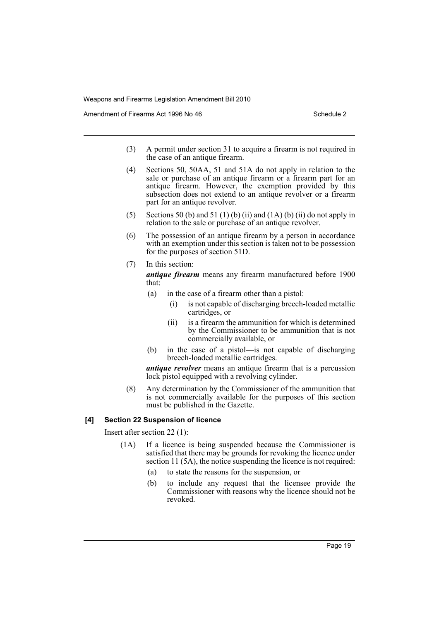Amendment of Firearms Act 1996 No 46 Schedule 2

- (3) A permit under section 31 to acquire a firearm is not required in the case of an antique firearm.
- (4) Sections 50, 50AA, 51 and 51A do not apply in relation to the sale or purchase of an antique firearm or a firearm part for an antique firearm. However, the exemption provided by this subsection does not extend to an antique revolver or a firearm part for an antique revolver.
- (5) Sections 50 (b) and 51 (1) (b) (ii) and (1A) (b) (ii) do not apply in relation to the sale or purchase of an antique revolver.
- (6) The possession of an antique firearm by a person in accordance with an exemption under this section is taken not to be possession for the purposes of section 51D.
- (7) In this section:

*antique firearm* means any firearm manufactured before 1900 that:

- (a) in the case of a firearm other than a pistol:
	- (i) is not capable of discharging breech-loaded metallic cartridges, or
	- (ii) is a firearm the ammunition for which is determined by the Commissioner to be ammunition that is not commercially available, or
- (b) in the case of a pistol—is not capable of discharging breech-loaded metallic cartridges.

*antique revolver* means an antique firearm that is a percussion lock pistol equipped with a revolving cylinder.

(8) Any determination by the Commissioner of the ammunition that is not commercially available for the purposes of this section must be published in the Gazette.

# **[4] Section 22 Suspension of licence**

Insert after section 22 (1):

- (1A) If a licence is being suspended because the Commissioner is satisfied that there may be grounds for revoking the licence under section 11 (5A), the notice suspending the licence is not required:
	- (a) to state the reasons for the suspension, or
	- (b) to include any request that the licensee provide the Commissioner with reasons why the licence should not be revoked.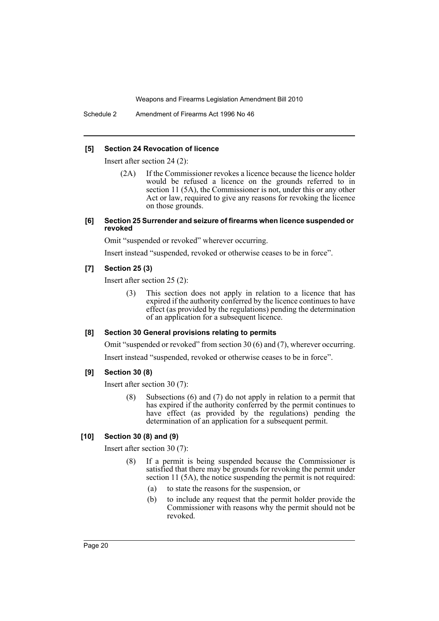Schedule 2 Amendment of Firearms Act 1996 No 46

### **[5] Section 24 Revocation of licence**

Insert after section 24 (2):

- (2A) If the Commissioner revokes a licence because the licence holder would be refused a licence on the grounds referred to in section 11 (5A), the Commissioner is not, under this or any other Act or law, required to give any reasons for revoking the licence on those grounds.
- **[6] Section 25 Surrender and seizure of firearms when licence suspended or revoked**

Omit "suspended or revoked" wherever occurring.

Insert instead "suspended, revoked or otherwise ceases to be in force".

### **[7] Section 25 (3)**

Insert after section 25 (2):

(3) This section does not apply in relation to a licence that has expired if the authority conferred by the licence continues to have effect (as provided by the regulations) pending the determination of an application for a subsequent licence.

# **[8] Section 30 General provisions relating to permits**

Omit "suspended or revoked" from section 30 (6) and (7), wherever occurring.

Insert instead "suspended, revoked or otherwise ceases to be in force".

### **[9] Section 30 (8)**

Insert after section 30 (7):

(8) Subsections (6) and (7) do not apply in relation to a permit that has expired if the authority conferred by the permit continues to have effect (as provided by the regulations) pending the determination of an application for a subsequent permit.

### **[10] Section 30 (8) and (9)**

Insert after section 30 (7):

- (8) If a permit is being suspended because the Commissioner is satisfied that there may be grounds for revoking the permit under section 11 (5A), the notice suspending the permit is not required:
	- (a) to state the reasons for the suspension, or
	- (b) to include any request that the permit holder provide the Commissioner with reasons why the permit should not be revoked.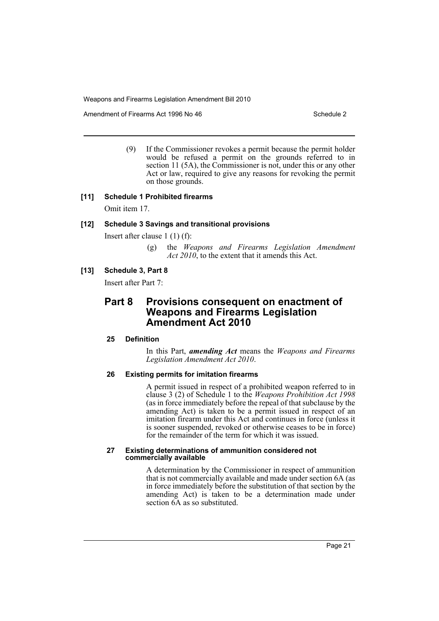Amendment of Firearms Act 1996 No 46 Schedule 2

(9) If the Commissioner revokes a permit because the permit holder would be refused a permit on the grounds referred to in section 11 (5A), the Commissioner is not, under this or any other Act or law, required to give any reasons for revoking the permit on those grounds.

### **[11] Schedule 1 Prohibited firearms**

Omit item 17.

### **[12] Schedule 3 Savings and transitional provisions**

Insert after clause 1 (1) (f):

(g) the *Weapons and Firearms Legislation Amendment Act 2010*, to the extent that it amends this Act.

# **[13] Schedule 3, Part 8**

Insert after Part 7:

# **Part 8 Provisions consequent on enactment of Weapons and Firearms Legislation Amendment Act 2010**

### **25 Definition**

In this Part, *amending Act* means the *Weapons and Firearms Legislation Amendment Act 2010*.

### **26 Existing permits for imitation firearms**

A permit issued in respect of a prohibited weapon referred to in clause 3 (2) of Schedule 1 to the *Weapons Prohibition Act 1998* (as in force immediately before the repeal of that subclause by the amending Act) is taken to be a permit issued in respect of an imitation firearm under this Act and continues in force (unless it is sooner suspended, revoked or otherwise ceases to be in force) for the remainder of the term for which it was issued.

#### **27 Existing determinations of ammunition considered not commercially available**

A determination by the Commissioner in respect of ammunition that is not commercially available and made under section 6A (as in force immediately before the substitution of that section by the amending Act) is taken to be a determination made under section 6A as so substituted.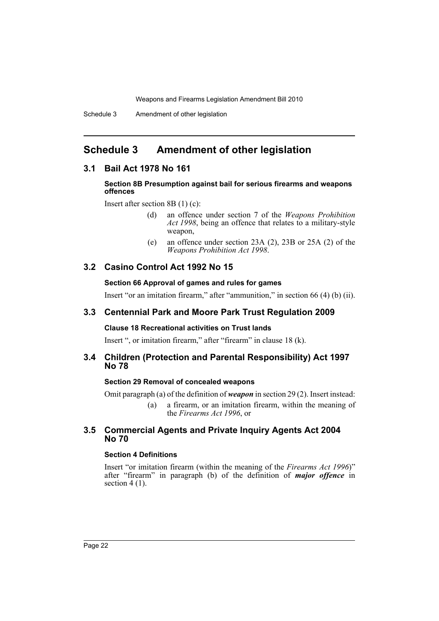# <span id="page-22-0"></span>**Schedule 3 Amendment of other legislation**

# **3.1 Bail Act 1978 No 161**

### **Section 8B Presumption against bail for serious firearms and weapons offences**

Insert after section 8B (1) (c):

- (d) an offence under section 7 of the *Weapons Prohibition* Act 1998, being an offence that relates to a military-style weapon,
- (e) an offence under section 23A (2), 23B or 25A (2) of the *Weapons Prohibition Act 1998*.

# **3.2 Casino Control Act 1992 No 15**

### **Section 66 Approval of games and rules for games**

Insert "or an imitation firearm," after "ammunition," in section 66 (4) (b) (ii).

# **3.3 Centennial Park and Moore Park Trust Regulation 2009**

# **Clause 18 Recreational activities on Trust lands**

Insert ", or imitation firearm," after "firearm" in clause 18 (k).

# **3.4 Children (Protection and Parental Responsibility) Act 1997 No 78**

# **Section 29 Removal of concealed weapons**

Omit paragraph (a) of the definition of *weapon* in section 29 (2). Insert instead:

(a) a firearm, or an imitation firearm, within the meaning of the *Firearms Act 1996*, or

# **3.5 Commercial Agents and Private Inquiry Agents Act 2004 No 70**

# **Section 4 Definitions**

Insert "or imitation firearm (within the meaning of the *Firearms Act 1996*)" after "firearm" in paragraph (b) of the definition of *major offence* in section  $4(1)$ .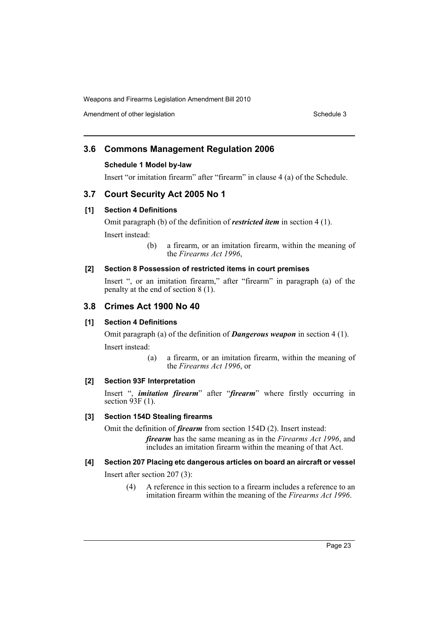Amendment of other legislation Schedule 3

# **3.6 Commons Management Regulation 2006**

# **Schedule 1 Model by-law**

Insert "or imitation firearm" after "firearm" in clause 4 (a) of the Schedule.

# **3.7 Court Security Act 2005 No 1**

# **[1] Section 4 Definitions**

Omit paragraph (b) of the definition of *restricted item* in section 4 (1). Insert instead:

> (b) a firearm, or an imitation firearm, within the meaning of the *Firearms Act 1996*,

# **[2] Section 8 Possession of restricted items in court premises**

Insert ", or an imitation firearm," after "firearm" in paragraph (a) of the penalty at the end of section 8 (1).

# **3.8 Crimes Act 1900 No 40**

# **[1] Section 4 Definitions**

Omit paragraph (a) of the definition of *Dangerous weapon* in section 4 (1). Insert instead:

> (a) a firearm, or an imitation firearm, within the meaning of the *Firearms Act 1996*, or

# **[2] Section 93F Interpretation**

Insert ", *imitation firearm*" after "*firearm*" where firstly occurring in section  $93F(1)$ .

# **[3] Section 154D Stealing firearms**

Omit the definition of *firearm* from section 154D (2). Insert instead:

*firearm* has the same meaning as in the *Firearms Act 1996*, and includes an imitation firearm within the meaning of that Act.

# **[4] Section 207 Placing etc dangerous articles on board an aircraft or vessel**

Insert after section 207 (3):

(4) A reference in this section to a firearm includes a reference to an imitation firearm within the meaning of the *Firearms Act 1996*.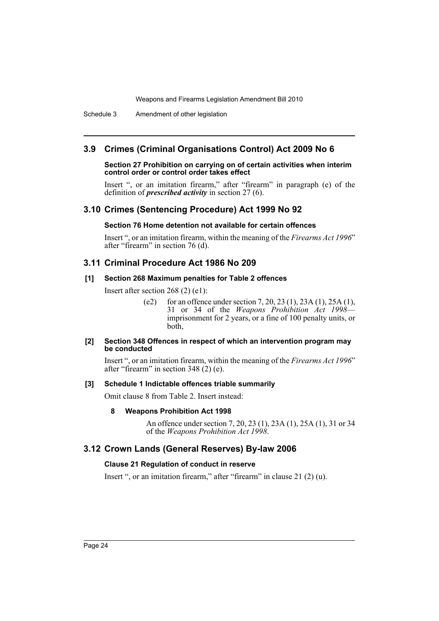Schedule 3 Amendment of other legislation

# **3.9 Crimes (Criminal Organisations Control) Act 2009 No 6**

### **Section 27 Prohibition on carrying on of certain activities when interim control order or control order takes effect**

Insert ", or an imitation firearm," after "firearm" in paragraph (e) of the definition of *prescribed activity* in section 27 (6).

# **3.10 Crimes (Sentencing Procedure) Act 1999 No 92**

### **Section 76 Home detention not available for certain offences**

Insert ", or an imitation firearm, within the meaning of the *Firearms Act 1996*" after "firearm" in section 76 (d).

# **3.11 Criminal Procedure Act 1986 No 209**

### **[1] Section 268 Maximum penalties for Table 2 offences**

Insert after section 268 (2) (e1):

(e2) for an offence under section 7, 20, 23 (1), 23A (1), 25A (1), 31 or 34 of the *Weapons Prohibition Act 1998* imprisonment for 2 years, or a fine of 100 penalty units, or both,

### **[2] Section 348 Offences in respect of which an intervention program may be conducted**

Insert ", or an imitation firearm, within the meaning of the *Firearms Act 1996*" after "firearm" in section  $348$  (2) (e).

### **[3] Schedule 1 Indictable offences triable summarily**

Omit clause 8 from Table 2. Insert instead:

### **8 Weapons Prohibition Act 1998**

An offence under section 7, 20, 23 (1), 23A (1), 25A (1), 31 or 34 of the *Weapons Prohibition Act 1998*.

# **3.12 Crown Lands (General Reserves) By-law 2006**

### **Clause 21 Regulation of conduct in reserve**

Insert ", or an imitation firearm," after "firearm" in clause 21 (2) (u).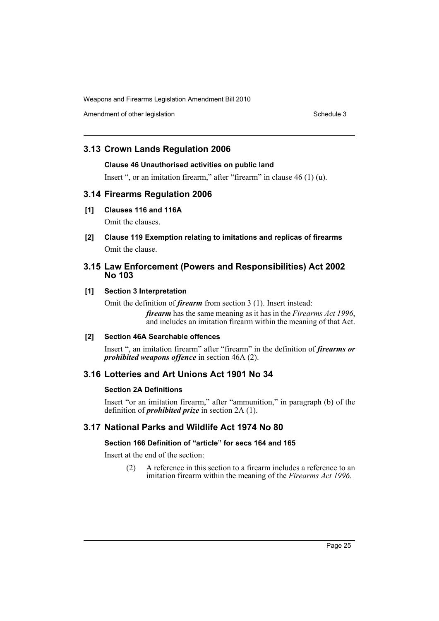Amendment of other legislation Schedule 3

# **3.13 Crown Lands Regulation 2006**

### **Clause 46 Unauthorised activities on public land**

Insert ", or an imitation firearm," after "firearm" in clause 46 (1) (u).

# **3.14 Firearms Regulation 2006**

# **[1] Clauses 116 and 116A**

Omit the clauses.

**[2] Clause 119 Exemption relating to imitations and replicas of firearms** Omit the clause.

# **3.15 Law Enforcement (Powers and Responsibilities) Act 2002 No 103**

# **[1] Section 3 Interpretation**

Omit the definition of *firearm* from section 3 (1). Insert instead:

*firearm* has the same meaning as it has in the *Firearms Act 1996*, and includes an imitation firearm within the meaning of that Act.

# **[2] Section 46A Searchable offences**

Insert ", an imitation firearm" after "firearm" in the definition of *firearms or prohibited weapons offence* in section 46A (2).

# **3.16 Lotteries and Art Unions Act 1901 No 34**

# **Section 2A Definitions**

Insert "or an imitation firearm," after "ammunition," in paragraph (b) of the definition of *prohibited prize* in section 2A (1).

# **3.17 National Parks and Wildlife Act 1974 No 80**

# **Section 166 Definition of "article" for secs 164 and 165**

Insert at the end of the section:

(2) A reference in this section to a firearm includes a reference to an imitation firearm within the meaning of the *Firearms Act 1996*.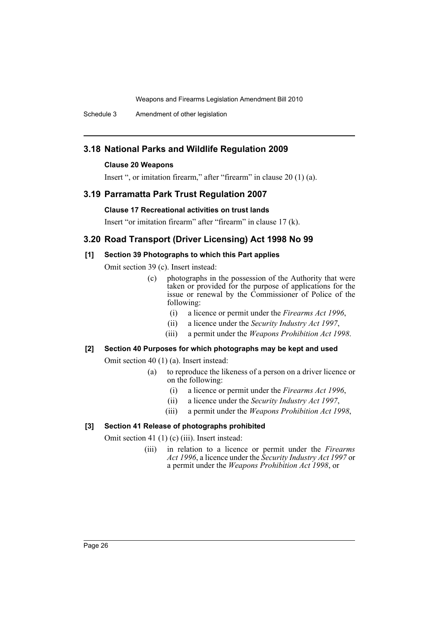Schedule 3 Amendment of other legislation

# **3.18 National Parks and Wildlife Regulation 2009**

### **Clause 20 Weapons**

Insert ", or imitation firearm," after "firearm" in clause 20 (1) (a).

# **3.19 Parramatta Park Trust Regulation 2007**

### **Clause 17 Recreational activities on trust lands**

Insert "or imitation firearm" after "firearm" in clause 17 (k).

# **3.20 Road Transport (Driver Licensing) Act 1998 No 99**

# **[1] Section 39 Photographs to which this Part applies**

Omit section 39 (c). Insert instead:

- (c) photographs in the possession of the Authority that were taken or provided for the purpose of applications for the issue or renewal by the Commissioner of Police of the following:
	- (i) a licence or permit under the *Firearms Act 1996*,
	- (ii) a licence under the *Security Industry Act 1997*,
	- (iii) a permit under the *Weapons Prohibition Act 1998*.

### **[2] Section 40 Purposes for which photographs may be kept and used**

Omit section 40 (1) (a). Insert instead:

- (a) to reproduce the likeness of a person on a driver licence or on the following:
	- (i) a licence or permit under the *Firearms Act 1996*,
	- (ii) a licence under the *Security Industry Act 1997*,
	- (iii) a permit under the *Weapons Prohibition Act 1998*,

# **[3] Section 41 Release of photographs prohibited**

Omit section 41 (1) (c) (iii). Insert instead:

(iii) in relation to a licence or permit under the *Firearms Act 1996*, a licence under the *Security Industry Act 1997* or a permit under the *Weapons Prohibition Act 1998*, or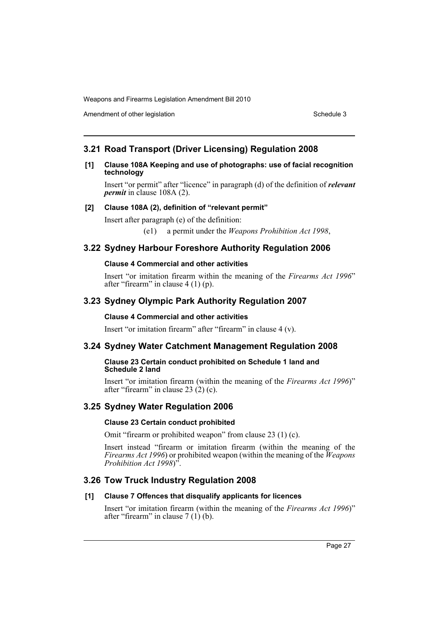Amendment of other legislation Schedule 3

# **3.21 Road Transport (Driver Licensing) Regulation 2008**

### **[1] Clause 108A Keeping and use of photographs: use of facial recognition technology**

Insert "or permit" after "licence" in paragraph (d) of the definition of *relevant permit* in clause 108A (2).

# **[2] Clause 108A (2), definition of "relevant permit"**

Insert after paragraph (e) of the definition:

(e1) a permit under the *Weapons Prohibition Act 1998*,

# **3.22 Sydney Harbour Foreshore Authority Regulation 2006**

### **Clause 4 Commercial and other activities**

Insert "or imitation firearm within the meaning of the *Firearms Act 1996*" after "firearm" in clause 4 (1) (p).

# **3.23 Sydney Olympic Park Authority Regulation 2007**

### **Clause 4 Commercial and other activities**

Insert "or imitation firearm" after "firearm" in clause 4 (v).

# **3.24 Sydney Water Catchment Management Regulation 2008**

### **Clause 23 Certain conduct prohibited on Schedule 1 land and Schedule 2 land**

Insert "or imitation firearm (within the meaning of the *Firearms Act 1996*)" after "firearm" in clause 23 (2) (c).

# **3.25 Sydney Water Regulation 2006**

### **Clause 23 Certain conduct prohibited**

Omit "firearm or prohibited weapon" from clause 23 (1) (c).

Insert instead "firearm or imitation firearm (within the meaning of the *Firearms Act 1996*) or prohibited weapon (within the meaning of the *Weapons Prohibition Act 1998*)".

# **3.26 Tow Truck Industry Regulation 2008**

# **[1] Clause 7 Offences that disqualify applicants for licences**

Insert "or imitation firearm (within the meaning of the *Firearms Act 1996*)" after "firearm" in clause  $7(1)$  (b).